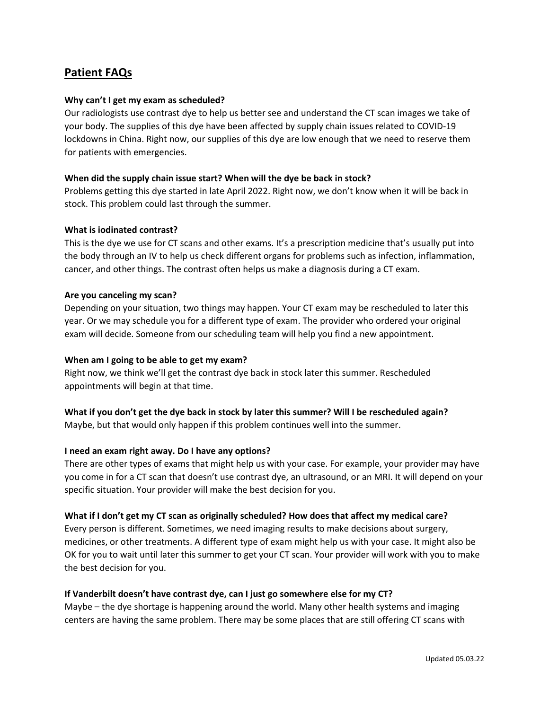# **Patient FAQs**

## **Why can't I get my exam as scheduled?**

Our radiologists use contrast dye to help us better see and understand the CT scan images we take of your body. The supplies of this dye have been affected by supply chain issues related to COVID-19 lockdowns in China. Right now, our supplies of this dye are low enough that we need to reserve them for patients with emergencies.

### **When did the supply chain issue start? When will the dye be back in stock?**

Problems getting this dye started in late April 2022. Right now, we don't know when it will be back in stock. This problem could last through the summer.

#### **What is iodinated contrast?**

This is the dye we use for CT scans and other exams. It's a prescription medicine that's usually put into the body through an IV to help us check different organs for problems such as infection, inflammation, cancer, and other things. The contrast often helps us make a diagnosis during a CT exam.

### **Are you canceling my scan?**

Depending on your situation, two things may happen. Your CT exam may be rescheduled to later this year. Or we may schedule you for a different type of exam. The provider who ordered your original exam will decide. Someone from our scheduling team will help you find a new appointment.

### **When am I going to be able to get my exam?**

Right now, we think we'll get the contrast dye back in stock later this summer. Rescheduled appointments will begin at that time.

### **What if you don't get the dye back in stock by later this summer? Will I be rescheduled again?**

Maybe, but that would only happen if this problem continues well into the summer.

### **I need an exam right away. Do I have any options?**

There are other types of exams that might help us with your case. For example, your provider may have you come in for a CT scan that doesn't use contrast dye, an ultrasound, or an MRI. It will depend on your specific situation. Your provider will make the best decision for you.

### **What if I don't get my CT scan as originally scheduled? How does that affect my medical care?**

Every person is different. Sometimes, we need imaging results to make decisions about surgery, medicines, or other treatments. A different type of exam might help us with your case. It might also be OK for you to wait until later this summer to get your CT scan. Your provider will work with you to make the best decision for you.

### **If Vanderbilt doesn't have contrast dye, can I just go somewhere else for my CT?**

Maybe – the dye shortage is happening around the world. Many other health systems and imaging centers are having the same problem. There may be some places that are still offering CT scans with